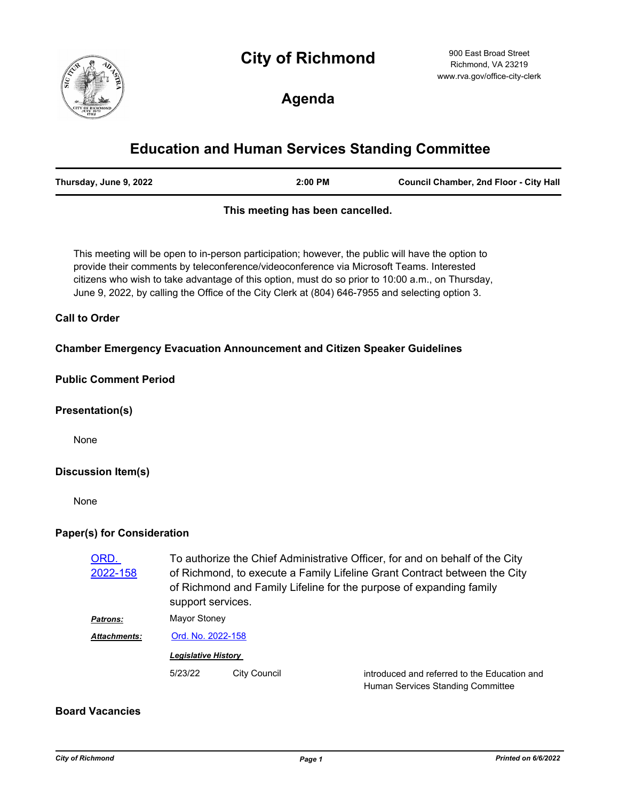# **City of Richmond**



900 East Broad Street Richmond, VA 23219 www.rva.gov/office-city-clerk

**Agenda**

# **Education and Human Services Standing Committee**

| Thursday, June 9, 2022 | 2:00 PM | <b>Council Chamber, 2nd Floor - City Hall</b> |
|------------------------|---------|-----------------------------------------------|
|------------------------|---------|-----------------------------------------------|

### **This meeting has been cancelled.**

This meeting will be open to in-person participation; however, the public will have the option to provide their comments by teleconference/videoconference via Microsoft Teams. Interested citizens who wish to take advantage of this option, must do so prior to 10:00 a.m., on Thursday, June 9, 2022, by calling the Office of the City Clerk at (804) 646-7955 and selecting option 3.

#### **Call to Order**

**Chamber Emergency Evacuation Announcement and Citizen Speaker Guidelines**

#### **Public Comment Period**

#### **Presentation(s)**

None

### **Discussion Item(s)**

None

### **Paper(s) for Consideration**

| ORD.<br>2022-158 | To authorize the Chief Administrative Officer, for and on behalf of the City<br>of Richmond, to execute a Family Lifeline Grant Contract between the City<br>of Richmond and Family Lifeline for the purpose of expanding family<br>support services. |              |                                                                                   |  |
|------------------|-------------------------------------------------------------------------------------------------------------------------------------------------------------------------------------------------------------------------------------------------------|--------------|-----------------------------------------------------------------------------------|--|
| <b>Patrons:</b>  | Mayor Stoney                                                                                                                                                                                                                                          |              |                                                                                   |  |
| Attachments:     | Ord. No. 2022-158                                                                                                                                                                                                                                     |              |                                                                                   |  |
|                  | <b>Legislative History</b>                                                                                                                                                                                                                            |              |                                                                                   |  |
|                  | 5/23/22                                                                                                                                                                                                                                               | City Council | introduced and referred to the Education and<br>Human Services Standing Committee |  |

## **Board Vacancies**